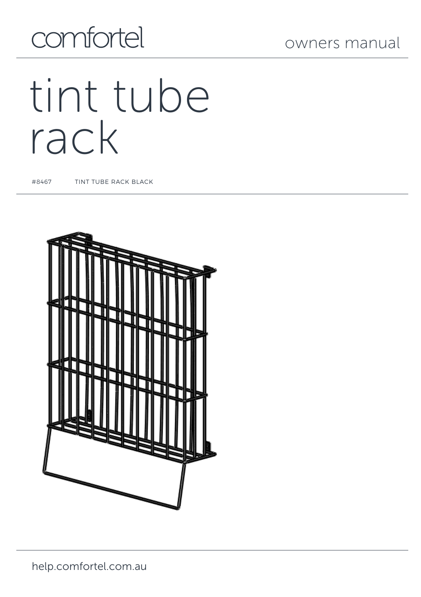# comfortel

# tint tube rack

#8467 TINT TUBE RACK BLACK